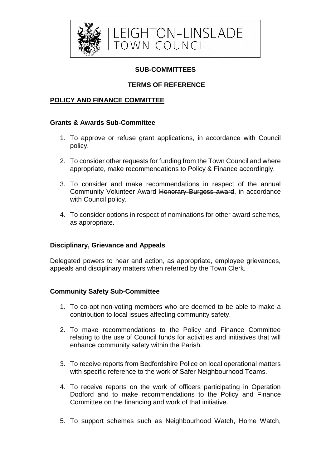

# **SUB-COMMITTEES**

# **TERMS OF REFERENCE**

# **POLICY AND FINANCE COMMITTEE**

#### **Grants & Awards Sub-Committee**

- 1. To approve or refuse grant applications, in accordance with Council policy.
- 2. To consider other requests for funding from the Town Council and where appropriate, make recommendations to Policy & Finance accordingly.
- 3. To consider and make recommendations in respect of the annual Community Volunteer Award Honorary Burgess award, in accordance with Council policy.
- 4. To consider options in respect of nominations for other award schemes, as appropriate.

### **Disciplinary, Grievance and Appeals**

Delegated powers to hear and action, as appropriate, employee grievances, appeals and disciplinary matters when referred by the Town Clerk.

### **Community Safety Sub-Committee**

- 1. To co-opt non-voting members who are deemed to be able to make a contribution to local issues affecting community safety.
- 2. To make recommendations to the Policy and Finance Committee relating to the use of Council funds for activities and initiatives that will enhance community safety within the Parish.
- 3. To receive reports from Bedfordshire Police on local operational matters with specific reference to the work of Safer Neighbourhood Teams.
- 4. To receive reports on the work of officers participating in Operation Dodford and to make recommendations to the Policy and Finance Committee on the financing and work of that initiative.
- 5. To support schemes such as Neighbourhood Watch, Home Watch,